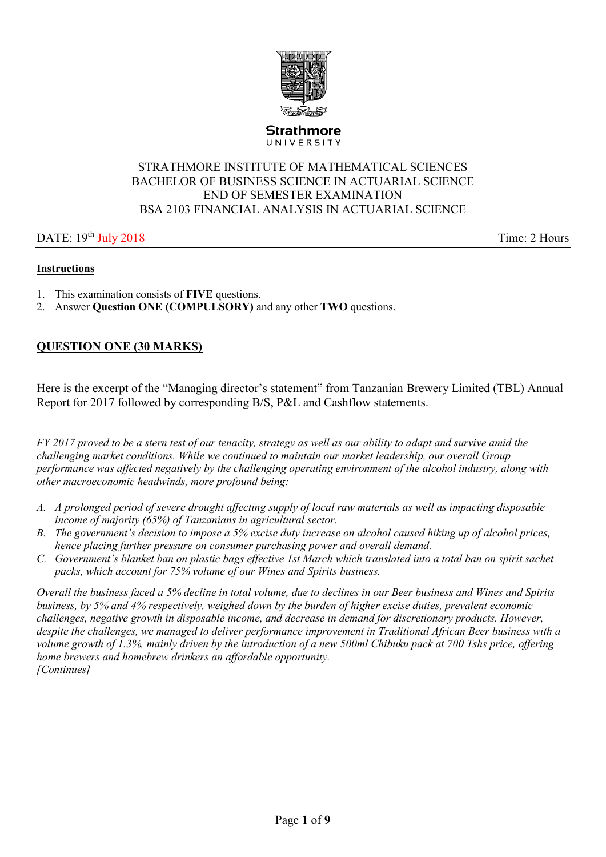

# UNIVERSITY

#### STRATHMORE INSTITUTE OF MATHEMATICAL SCIENCES BACHELOR OF BUSINESS SCIENCE IN ACTUARIAL SCIENCE END OF SEMESTER EXAMINATION BSA 2103 FINANCIAL ANALYSIS IN ACTUARIAL SCIENCE

#### DATE: 19<sup>th</sup> July 2018 Time: 2 Hours

#### **Instructions**

- 1. This examination consists of **FIVE** questions.
- 2. Answer **Question ONE (COMPULSORY)** and any other **TWO** questions.

### **QUESTION ONE (30 MARKS)**

Here is the excerpt of the "Managing director's statement" from Tanzanian Brewery Limited (TBL) Annual Report for 2017 followed by corresponding B/S, P&L and Cashflow statements.

*FY 2017 proved to be a stern test of our tenacity, strategy as well as our ability to adapt and survive amid the challenging market conditions. While we continued to maintain our market leadership, our overall Group performance was affected negatively by the challenging operating environment of the alcohol industry, along with other macroeconomic headwinds, more profound being:*

- *A. A prolonged period of severe drought affecting supply of local raw materials as well as impacting disposable income of majority (65%) of Tanzanians in agricultural sector.*
- *B. The government's decision to impose a 5% excise duty increase on alcohol caused hiking up of alcohol prices, hence placing further pressure on consumer purchasing power and overall demand.*
- *C. Government's blanket ban on plastic bags effective 1st March which translated into a total ban on spirit sachet packs, which account for 75% volume of our Wines and Spirits business.*

*Overall the business faced a 5% decline in total volume, due to declines in our Beer business and Wines and Spirits business, by 5% and 4% respectively, weighed down by the burden of higher excise duties, prevalent economic challenges, negative growth in disposable income, and decrease in demand for discretionary products. However, despite the challenges, we managed to deliver performance improvement in Traditional African Beer business with a volume growth of 1.3%, mainly driven by the introduction of a new 500ml Chibuku pack at 700 Tshs price, offering home brewers and homebrew drinkers an affordable opportunity. [Continues]*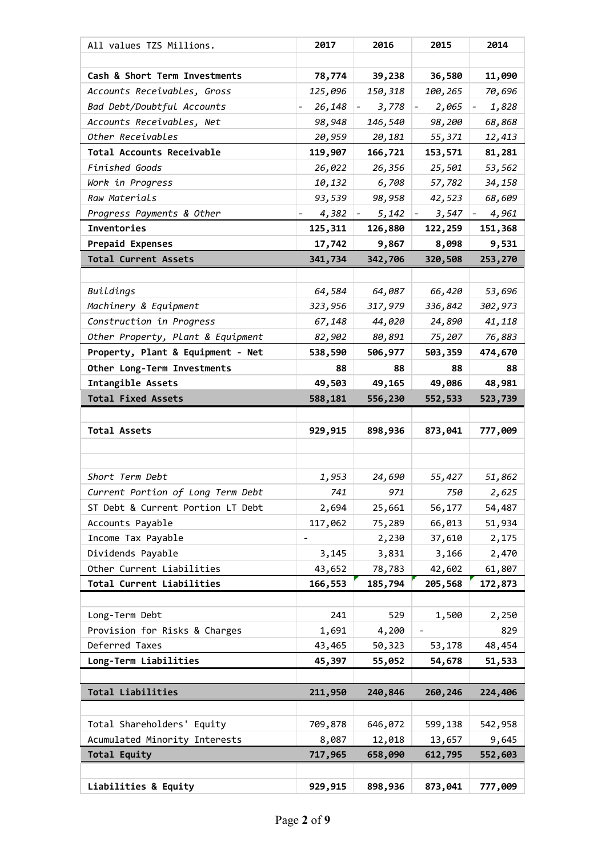| All values TZS Millions.          | 2017            | 2016                   | 2015                                   | 2014    |
|-----------------------------------|-----------------|------------------------|----------------------------------------|---------|
|                                   |                 |                        |                                        |         |
| Cash & Short Term Investments     | 78,774          | 39,238                 | 36,580                                 | 11,090  |
| Accounts Receivables, Gross       | 125,096         | 150,318                | 100,265                                | 70,696  |
| Bad Debt/Doubtful Accounts        | 26, 148         | $\frac{1}{2}$<br>3,778 | $-2,065$ -                             | 1,828   |
| Accounts Receivables, Net         | 98,948          | 146,540                | 98,200                                 | 68,868  |
| Other Receivables                 | 20,959          | 20,181                 | 55,371                                 | 12,413  |
| Total Accounts Receivable         | 119,907         | 166,721                | 153,571                                | 81,281  |
| Finished Goods                    | 26,022          | 26,356                 | 25,501                                 | 53,562  |
| Work in Progress                  | 10,132          | 6,708                  | 57,782                                 | 34,158  |
| Raw Materials                     | 93,539          | 98,958                 | 42,523                                 | 68,609  |
| Progress Payments & Other         | 4,382<br>$\sim$ | 5,142<br>$\sim 100$    | 3,547 $\vert$ -<br>$\sigma_{\rm{max}}$ | 4,961   |
| Inventories                       | 125,311         | 126,880                | 122,259                                | 151,368 |
| <b>Prepaid Expenses</b>           | 17,742          | 9,867                  | 8,098                                  | 9,531   |
| <b>Total Current Assets</b>       | 341,734         | 342,706                | 320,508                                | 253,270 |
|                                   |                 |                        |                                        |         |
| Buildings                         | 64,584          | 64,087                 | 66,420                                 | 53,696  |
| Machinery & Equipment             | 323,956         | 317,979                | 336,842                                | 302,973 |
| Construction in Progress          | 67,148          | 44,020                 | 24,890                                 | 41,118  |
| Other Property, Plant & Equipment | 82,902          | 80,891                 | 75,207                                 | 76,883  |
| Property, Plant & Equipment - Net | 538,590         | 506,977                | 503,359                                | 474,670 |
| Other Long-Term Investments       | 88              | 88                     | 88                                     | 88      |
| <b>Intangible Assets</b>          | 49,503          | 49,165                 | 49,086                                 | 48,981  |
| <b>Total Fixed Assets</b>         | 588,181         | 556,230                | 552,533                                | 523,739 |
|                                   |                 |                        |                                        |         |
|                                   |                 |                        |                                        |         |
| <b>Total Assets</b>               | 929,915         | 898,936                | 873,041                                | 777,009 |
|                                   |                 |                        |                                        |         |
|                                   |                 |                        |                                        |         |
| Short Term Debt                   | 1,953           | 24,690                 | 55,427                                 | 51,862  |
| Current Portion of Long Term Debt | 741             | 971                    | 750                                    | 2,625   |
| ST Debt & Current Portion LT Debt | 2,694           | 25,661                 | 56,177                                 | 54,487  |
| Accounts Payable                  | 117,062         | 75,289                 | 66,013                                 | 51,934  |
| Income Tax Payable                |                 | 2,230                  | 37,610                                 | 2,175   |
| Dividends Payable                 | 3,145           | 3,831                  | 3,166                                  | 2,470   |
| Other Current Liabilities         | 43,652          | 78,783                 | 42,602                                 | 61,807  |
| Total Current Liabilities         | 166,553         | 185,794                | 205,568                                | 172,873 |
|                                   |                 |                        |                                        |         |
| Long-Term Debt                    | 241             | 529                    | 1,500                                  | 2,250   |
| Provision for Risks & Charges     | 1,691           | 4,200                  | -                                      | 829     |
| Deferred Taxes                    | 43,465          | 50,323                 | 53,178                                 | 48,454  |
| Long-Term Liabilities             | 45,397          | 55,052                 | 54,678                                 | 51,533  |
|                                   |                 |                        |                                        |         |
| <b>Total Liabilities</b>          | 211,950         | 240,846                | 260,246                                | 224,406 |
|                                   |                 |                        |                                        |         |
| Total Shareholders' Equity        | 709,878         | 646,072                | 599,138                                | 542,958 |
| Acumulated Minority Interests     | 8,087           | 12,018                 | 13,657                                 | 9,645   |
| <b>Total Equity</b>               | 717,965         | 658,090                | 612,795                                | 552,603 |
| Liabilities & Equity              | 929,915         | 898,936                | 873,041                                | 777,009 |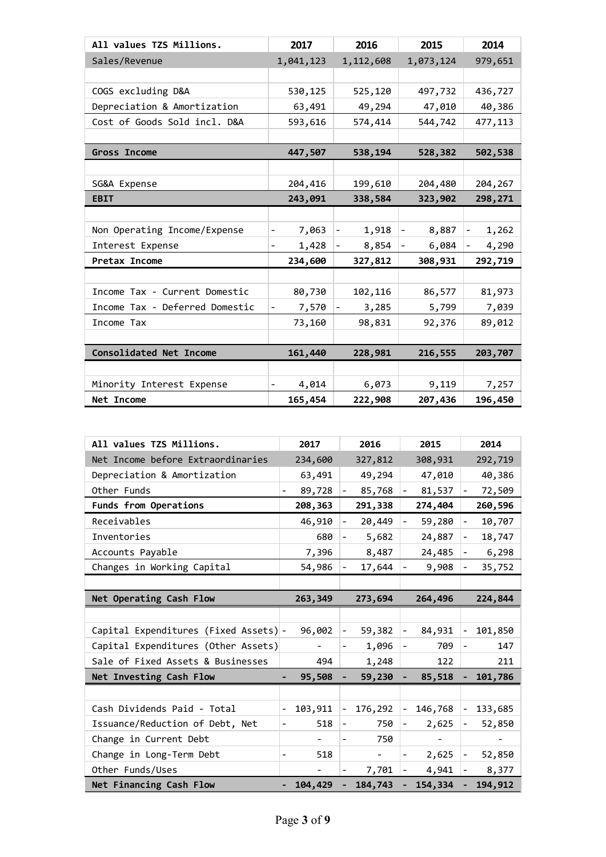| All values TZS Millions.       | 2017                              | 2016                              | 2015                              | 2014                              |
|--------------------------------|-----------------------------------|-----------------------------------|-----------------------------------|-----------------------------------|
| Sales/Revenue                  | 1,041,123                         | 1,112,608                         | 1,073,124                         | 979,651                           |
|                                |                                   |                                   |                                   |                                   |
| COGS excluding D&A             | 530,125                           | 525,120                           | 497,732                           | 436,727                           |
| Depreciation & Amortization    | 63,491                            | 49,294                            | 47,010                            | 40,386                            |
| Cost of Goods Sold incl. D&A   | 593,616                           | 574,414                           | 544,742                           | 477,113                           |
|                                |                                   |                                   |                                   |                                   |
| <b>Gross Income</b>            | 447,507                           | 538,194                           | 528,382                           | 502,538                           |
|                                |                                   |                                   |                                   |                                   |
| SG&A Expense                   | 204,416                           | 199,610                           | 204,480                           | 204,267                           |
| <b>EBIT</b>                    | 243,091                           | 338,584                           | 323,902                           | 298,271                           |
|                                |                                   |                                   |                                   |                                   |
| Non Operating Income/Expense   | 7,063<br>-                        | 1,918<br>$\overline{\phantom{0}}$ | 8,887<br>$\overline{\phantom{a}}$ | 1,262<br>$\overline{\phantom{0}}$ |
| Interest Expense               | 1,428<br>$\overline{\phantom{0}}$ | 8,854<br>$\overline{\phantom{0}}$ | 6,084<br>$\overline{\phantom{a}}$ | 4,290<br>$\overline{\phantom{a}}$ |
| Pretax Income                  | 234,600                           | 327,812                           | 308,931                           | 292,719                           |
|                                |                                   |                                   |                                   |                                   |
| Income Tax - Current Domestic  | 80,730                            | 102,116                           | 86,577                            | 81,973                            |
| Income Tax - Deferred Domestic | 7,570<br>$\overline{\phantom{0}}$ | 3,285<br>$\overline{\phantom{0}}$ | 5,799                             | 7,039                             |
| Income Tax                     | 73,160                            | 98,831                            | 92,376                            | 89,012                            |
|                                |                                   |                                   |                                   |                                   |
| <b>Consolidated Net Income</b> | 161,440                           | 228,981                           | 216,555                           | 203,707                           |
|                                |                                   |                                   |                                   |                                   |
| Minority Interest Expense      | 4,014<br>-                        | 6,073                             | 9,119                             | 7,257                             |
| Net Income                     | 165,454                           | 222,908                           | 207,436                           | 196,450                           |

| All values TZS Millions.              | 2017                                | 2016                                | 2015                                | 2014                                |
|---------------------------------------|-------------------------------------|-------------------------------------|-------------------------------------|-------------------------------------|
| Net Income before Extraordinaries     | 234,600                             | 327,812                             | 308,931                             | 292,719                             |
| Depreciation & Amortization           | 63,491                              | 49,294                              | 47,010                              | 40,386                              |
| Other Funds                           | 89,728                              | 85,768<br>$\overline{\phantom{a}}$  | 81,537<br>$\overline{\phantom{a}}$  | 72,509<br>$\overline{\phantom{a}}$  |
| <b>Funds from Operations</b>          | 208,363                             | 291,338                             | 274,404                             | 260,596                             |
| Receivables                           | 46,910                              | 20,449<br>$\overline{\phantom{a}}$  | 59,280                              | 10,707                              |
| Inventories                           | 680                                 | 5,682<br>$\overline{\phantom{a}}$   | 24,887                              | 18,747                              |
| Accounts Payable                      | 7,396                               | 8,487                               | 24,485                              | 6,298<br>$\overline{\phantom{a}}$   |
| Changes in Working Capital            | 54,986                              | 17,644                              | 9,908                               | 35,752                              |
|                                       |                                     |                                     |                                     |                                     |
| Net Operating Cash Flow               | 263,349                             | 273,694                             | 264,496                             | 224,844                             |
|                                       |                                     |                                     |                                     |                                     |
| Capital Expenditures (Fixed Assets) - | 96,002                              | 59,382                              | 84,931                              | 101,850<br>$\overline{\phantom{a}}$ |
| Capital Expenditures (Other Assets)   |                                     | 1,096<br>$\overline{\phantom{a}}$   | 709<br>$\overline{\phantom{a}}$     | 147<br>$\overline{\phantom{a}}$     |
| Sale of Fixed Assets & Businesses     | 494                                 | 1,248                               | 122                                 | 211                                 |
| Net Investing Cash Flow               | 95,508                              | 59,230<br>٠                         | 85,518                              | 101,786                             |
|                                       |                                     |                                     |                                     |                                     |
| Cash Dividends Paid - Total           | 103,911<br>$\overline{\phantom{a}}$ | 176,292<br>$\overline{\phantom{a}}$ | 146,768<br>$\overline{\phantom{a}}$ | 133,685<br>$\overline{\phantom{0}}$ |
| Issuance/Reduction of Debt, Net       | 518<br>$\overline{\phantom{a}}$     | 750<br>$\overline{\phantom{a}}$     | 2,625<br>$\overline{\phantom{0}}$   | 52,850<br>$\overline{\phantom{a}}$  |
| Change in Current Debt                |                                     | 750<br>$\overline{\phantom{a}}$     | $\overline{\phantom{a}}$            | $\overline{\phantom{a}}$            |
| Change in Long-Term Debt              | 518                                 | $\overline{\phantom{a}}$            | 2,625                               | 52,850                              |
| Other Funds/Uses                      |                                     | 7,701<br>$\overline{\phantom{a}}$   | 4,941<br>$\overline{\phantom{a}}$   | 8,377<br>$\qquad \qquad -$          |
| Net Financing Cash Flow               | 104,429                             | 184,743<br>٠                        | 154,334                             | 194,912                             |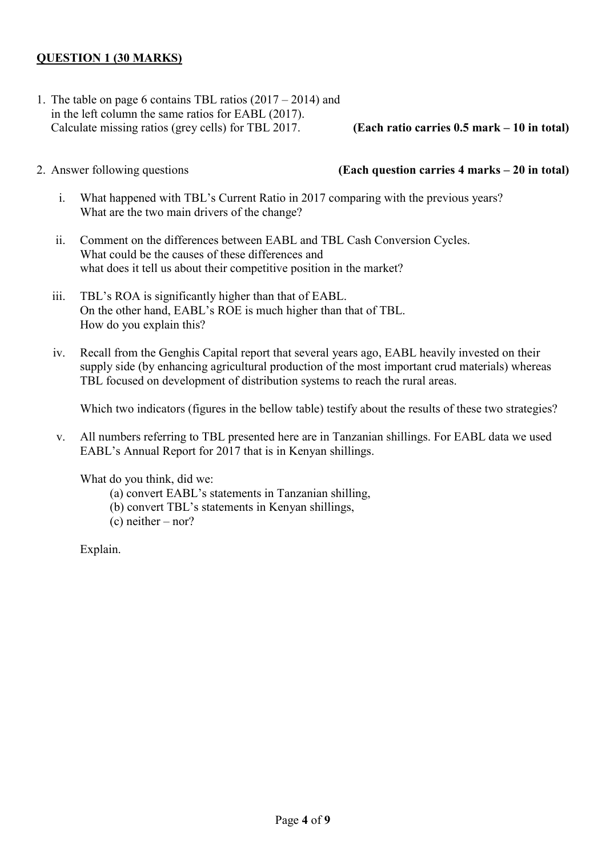### **QUESTION 1 (30 MARKS)**

- 1. The table on page 6 contains TBL ratios (2017 2014) and in the left column the same ratios for EABL (2017). Calculate missing ratios (grey cells) for TBL 2017. **(Each ratio carries 0.5 mark – 10 in total)**
- 

#### 2. Answer following questions **(Each question carries 4 marks – 20 in total)**

- i. What happened with TBL's Current Ratio in 2017 comparing with the previous years? What are the two main drivers of the change?
- ii. Comment on the differences between EABL and TBL Cash Conversion Cycles. What could be the causes of these differences and what does it tell us about their competitive position in the market?
- iii. TBL's ROA is significantly higher than that of EABL. On the other hand, EABL's ROE is much higher than that of TBL. How do you explain this?
- iv. Recall from the Genghis Capital report that several years ago, EABL heavily invested on their supply side (by enhancing agricultural production of the most important crud materials) whereas TBL focused on development of distribution systems to reach the rural areas.

Which two indicators (figures in the bellow table) testify about the results of these two strategies?

v. All numbers referring to TBL presented here are in Tanzanian shillings. For EABL data we used EABL's Annual Report for 2017 that is in Kenyan shillings.

What do you think, did we:

- (a) convert EABL's statements in Tanzanian shilling,
- (b) convert TBL's statements in Kenyan shillings,
- (c) neither nor?

Explain.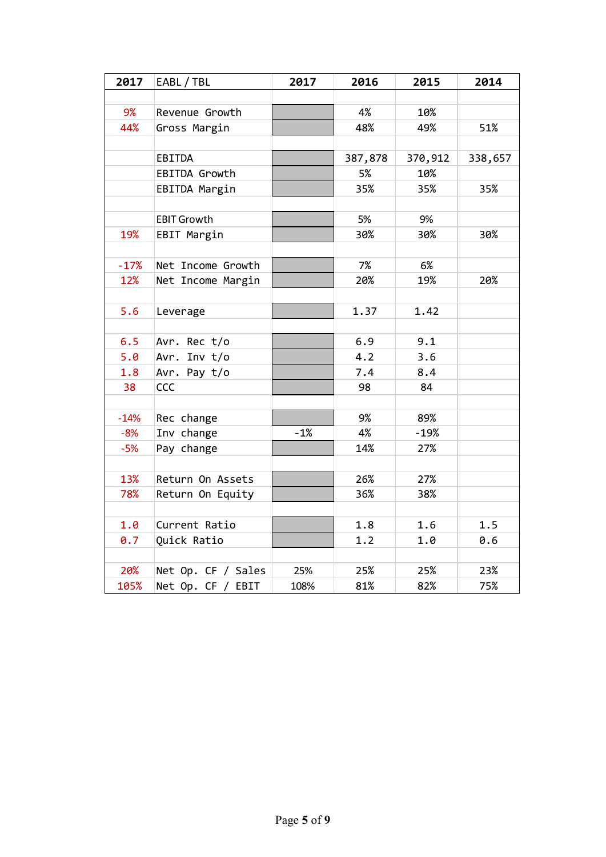| 2017   | EABL / TBL         | 2017  | 2016    | 2015    | 2014    |
|--------|--------------------|-------|---------|---------|---------|
|        |                    |       |         |         |         |
| 9%     | Revenue Growth     |       | 4%      | 10%     |         |
| 44%    | Gross Margin       |       | 48%     | 49%     | 51%     |
|        |                    |       |         |         |         |
|        | EBITDA             |       | 387,878 | 370,912 | 338,657 |
|        | EBITDA Growth      |       | 5%      | 10%     |         |
|        | EBITDA Margin      |       | 35%     | 35%     | 35%     |
|        |                    |       |         |         |         |
|        | <b>EBIT Growth</b> |       | 5%      | 9%      |         |
| 19%    | EBIT Margin        |       | 30%     | 30%     | 30%     |
|        |                    |       |         |         |         |
| $-17%$ | Net Income Growth  |       | 7%      | 6%      |         |
| 12%    | Net Income Margin  |       | 20%     | 19%     | 20%     |
|        |                    |       |         |         |         |
| 5.6    | Leverage           |       | 1.37    | 1.42    |         |
|        |                    |       |         |         |         |
| 6.5    | Avr. Rec t/o       |       | 6.9     | 9.1     |         |
| 5.0    | Avr. Inv t/o       |       | 4.2     | 3.6     |         |
| 1.8    | Avr. Pay t/o       |       | 7.4     | 8.4     |         |
| 38     | CCC                |       | 98      | 84      |         |
|        |                    |       |         |         |         |
| $-14%$ | Rec change         |       | 9%      | 89%     |         |
| $-8%$  | Inv change         | $-1%$ | 4%      | $-19%$  |         |
| $-5%$  | Pay change         |       | 14%     | 27%     |         |
|        |                    |       |         |         |         |
| 13%    | Return On Assets   |       | 26%     | 27%     |         |
| 78%    | Return On Equity   |       | 36%     | 38%     |         |
|        |                    |       |         |         |         |
| 1.0    | Current Ratio      |       | 1.8     | 1.6     | 1.5     |
| 0.7    | Quick Ratio        |       | 1.2     | 1.0     | 0.6     |
|        |                    |       |         |         |         |
| 20%    | Net Op. CF / Sales | 25%   | 25%     | 25%     | 23%     |
| 105%   | Net Op. CF / EBIT  | 108%  | 81%     | 82%     | 75%     |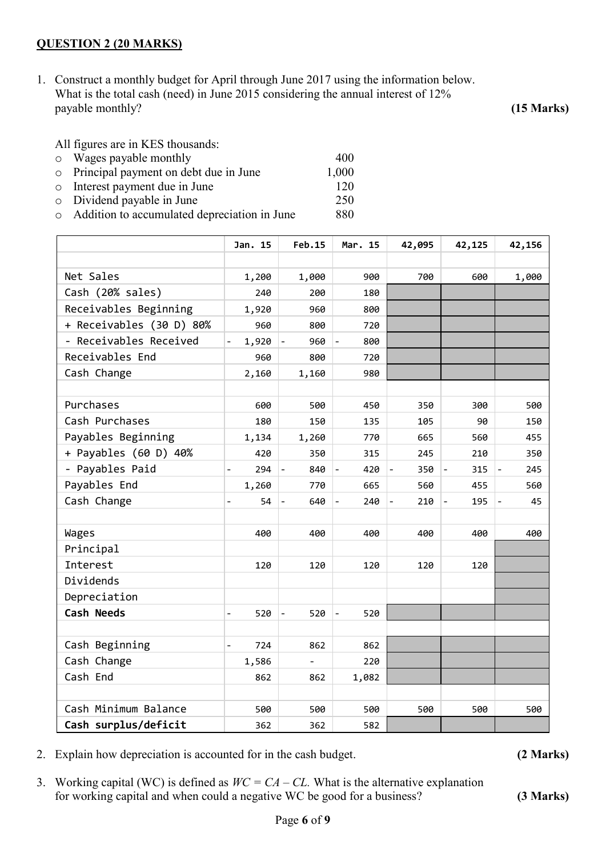#### **QUESTION 2 (20 MARKS)**

1. Construct a monthly budget for April through June 2017 using the information below. What is the total cash (need) in June 2015 considering the annual interest of 12% payable monthly? **(15 Marks)**

All figures are in KES thousands:

- o Wages payable monthly 400 o Principal payment on debt due in June 1,000
- o Interest payment due in June 120
- o Dividend payable in June 250
- o Addition to accumulated depreciation in June 880

|                          | Jan. 15                         | <b>Feb.15</b>                       | Mar. 15                         | 42,095                              | 42,125                          | 42,156                          |
|--------------------------|---------------------------------|-------------------------------------|---------------------------------|-------------------------------------|---------------------------------|---------------------------------|
|                          |                                 |                                     |                                 |                                     |                                 |                                 |
| Net Sales                | 1,200                           | 1,000                               | 900                             | 700                                 | 600                             | 1,000                           |
| Cash (20% sales)         | 240                             | 200                                 | 180                             |                                     |                                 |                                 |
| Receivables Beginning    | 1,920                           | 960                                 | 800                             |                                     |                                 |                                 |
| + Receivables (30 D) 80% | 960                             | 800                                 | 720                             |                                     |                                 |                                 |
| - Receivables Received   | 1,920                           | 960                                 | 800                             |                                     |                                 |                                 |
| Receivables End          | 960                             | 800                                 | 720                             |                                     |                                 |                                 |
| Cash Change              | 2,160                           | 1,160                               | 980                             |                                     |                                 |                                 |
|                          |                                 |                                     |                                 |                                     |                                 |                                 |
| Purchases                | 600                             | 500                                 | 450                             | 350                                 | 300                             | 500                             |
| Cash Purchases           | 180                             | 150                                 | 135                             | 105                                 | 90                              | 150                             |
| Payables Beginning       | 1,134                           | 1,260                               | 770                             | 665                                 | 560                             | 455                             |
| + Payables (60 D) 40%    | 420                             | 350                                 | 315                             | 245                                 | 210                             | 350                             |
| - Payables Paid          | 294<br>-                        | 840<br>$\overline{\phantom{a}}$     | 420<br>$\overline{\phantom{a}}$ | 350<br>$\overline{\phantom{a}}$     | 315<br>$\overline{\phantom{a}}$ | 245<br>$\overline{\phantom{0}}$ |
| Payables End             | 1,260                           | 770                                 | 665                             | 560                                 | 455                             | 560                             |
| Cash Change              | 54<br>$\overline{\phantom{0}}$  | 640<br>$\qquad \qquad \blacksquare$ | 240<br>$\blacksquare$           | 210<br>$\qquad \qquad \blacksquare$ | 195<br>$\blacksquare$           | 45<br>$\overline{\phantom{0}}$  |
|                          |                                 |                                     |                                 |                                     |                                 |                                 |
| Wages                    | 400                             | 400                                 | 400                             | 400                                 | 400                             | 400                             |
| Principal                |                                 |                                     |                                 |                                     |                                 |                                 |
| Interest                 | 120                             | 120                                 | 120                             | 120                                 | 120                             |                                 |
| Dividends                |                                 |                                     |                                 |                                     |                                 |                                 |
| Depreciation             |                                 |                                     |                                 |                                     |                                 |                                 |
| Cash Needs               | 520<br>-                        | 520<br>$\overline{\phantom{a}}$     | 520<br>$\overline{\phantom{a}}$ |                                     |                                 |                                 |
|                          |                                 |                                     |                                 |                                     |                                 |                                 |
| Cash Beginning           | 724<br>$\overline{\phantom{0}}$ | 862                                 | 862                             |                                     |                                 |                                 |
| Cash Change              | 1,586                           | $\blacksquare$                      | 220                             |                                     |                                 |                                 |
| Cash End                 | 862                             | 862                                 | 1,082                           |                                     |                                 |                                 |
|                          |                                 |                                     |                                 |                                     |                                 |                                 |
| Cash Minimum Balance     | 500                             | 500                                 | 500                             | 500                                 | 500                             | 500                             |
| Cash surplus/deficit     | 362                             | 362                                 | 582                             |                                     |                                 |                                 |

2. Explain how depreciation is accounted for in the cash budget. **(2 Marks)**

3. Working capital (WC) is defined as  $WC = CA - CL$ . What is the alternative explanation for working capital and when could a negative WC be good for a business? **(3 Marks)**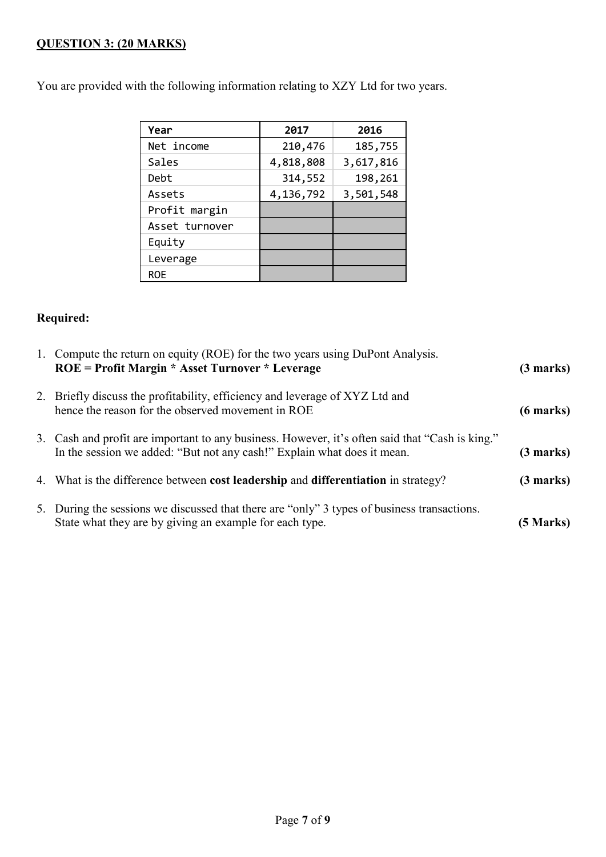## **QUESTION 3: (20 MARKS)**

| Year           | 2017      | 2016      |
|----------------|-----------|-----------|
| Net income     | 210,476   | 185,755   |
| Sales          | 4,818,808 | 3,617,816 |
| Debt           | 314,552   | 198,261   |
| Assets         | 4,136,792 | 3,501,548 |
| Profit margin  |           |           |
| Asset turnover |           |           |
| Equity         |           |           |
| Leverage       |           |           |
| <b>ROE</b>     |           |           |

You are provided with the following information relating to XZY Ltd for two years.

## **Required:**

| 1. Compute the return on equity (ROE) for the two years using DuPont Analysis.<br>ROE = Profit Margin * Asset Turnover * Leverage                                          | $(3 \text{ marks})$ |
|----------------------------------------------------------------------------------------------------------------------------------------------------------------------------|---------------------|
| 2. Briefly discuss the profitability, efficiency and leverage of XYZ Ltd and<br>hence the reason for the observed movement in ROE                                          | $(6 \text{ marks})$ |
| 3. Cash and profit are important to any business. However, it's often said that "Cash is king."<br>In the session we added: "But not any cash!" Explain what does it mean. | $(3 \text{ marks})$ |
| 4. What is the difference between cost leadership and differentiation in strategy?                                                                                         | $(3 \text{ marks})$ |
| 5. During the sessions we discussed that there are "only" 3 types of business transactions.<br>State what they are by giving an example for each type.                     | (5 Marks)           |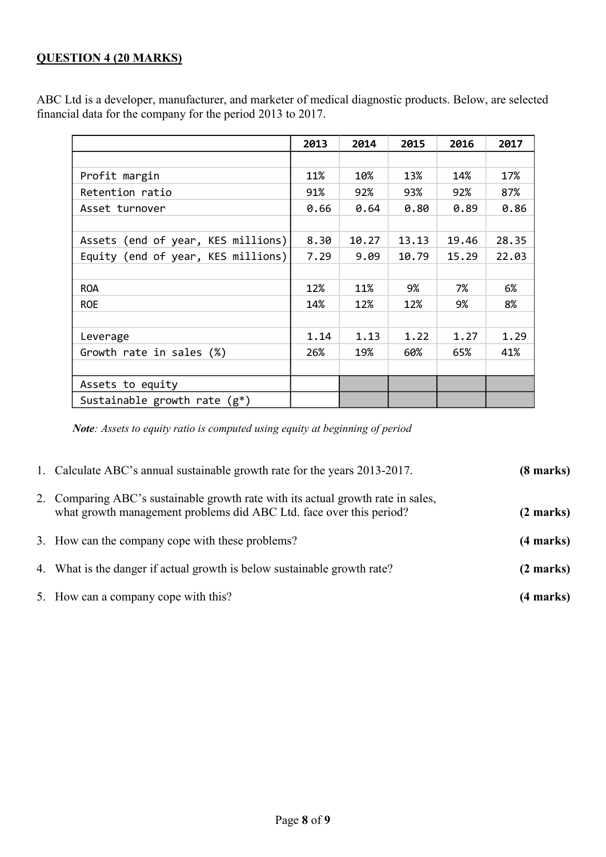### **QUESTION 4 (20 MARKS)**

ABC Ltd is a developer, manufacturer, and marketer of medical diagnostic products. Below, are selected financial data for the company for the period 2013 to 2017.

|                                    | 2013 | 2014  | 2015  | 2016  | 2017  |
|------------------------------------|------|-------|-------|-------|-------|
|                                    |      |       |       |       |       |
| Profit margin                      | 11%  | 10%   | 13%   | 14%   | 17%   |
| Retention ratio                    | 91%  | 92%   | 93%   | 92%   | 87%   |
| Asset turnover                     | 0.66 | 0.64  | 0.80  | 0.89  | 0.86  |
|                                    |      |       |       |       |       |
| Assets (end of year, KES millions) | 8.30 | 10.27 | 13.13 | 19.46 | 28.35 |
| Equity (end of year, KES millions) | 7.29 | 9.09  | 10.79 | 15.29 | 22.03 |
|                                    |      |       |       |       |       |
| <b>ROA</b>                         | 12%  | 11%   | 9%    | 7%    | 6%    |
| <b>ROE</b>                         | 14%  | 12%   | 12%   | 9%    | 8%    |
|                                    |      |       |       |       |       |
| Leverage                           | 1.14 | 1.13  | 1.22  | 1.27  | 1.29  |
| Growth rate in sales (%)           | 26%  | 19%   | 60%   | 65%   | 41%   |
|                                    |      |       |       |       |       |
| Assets to equity                   |      |       |       |       |       |
| Sustainable growth rate $(g^*)$    |      |       |       |       |       |

*Note: Assets to equity ratio is computed using equity at beginning of period*

| 1. Calculate ABC's annual sustainable growth rate for the years 2013-2017.                                                                              | $(8 \text{ marks})$ |
|---------------------------------------------------------------------------------------------------------------------------------------------------------|---------------------|
| 2. Comparing ABC's sustainable growth rate with its actual growth rate in sales,<br>what growth management problems did ABC Ltd. face over this period? | $(2 \text{ marks})$ |
| 3. How can the company cope with these problems?                                                                                                        | $(4 \text{ marks})$ |
| 4. What is the danger if actual growth is below sustainable growth rate?                                                                                | $(2 \text{ marks})$ |
| 5. How can a company cope with this?                                                                                                                    | (4 marks)           |